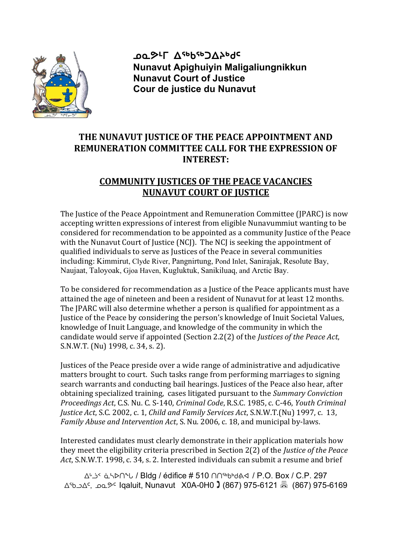

ათგ<sub>τ</sub>∟ ⊽<sub>მზ</sub>ρ<sub>ει</sub>ο για Nunavut Apighuiyin Maligaliungnikkun Nunavut Court of Justice Cour de justice du Nunavut

## THE NUNAVUT JUSTICE OF THE PEACE APPOINTMENT AND REMUNERATION COMMITTEE CALL FOR THE EXPRESSION OF INTEREST:

## COMMUNITY JUSTICES OF THE PEACE VACANCIES NUNAVUT COURT OF JUSTICE

The Justice of the Peace Appointment and Remuneration Committee (JPARC) is now accepting written expressions of interest from eligible Nunavummiut wanting to be considered for recommendation to be appointed as a community Justice of the Peace with the Nunavut Court of Justice (NCJ). The NCJ is seeking the appointment of qualified individuals to serve as Justices of the Peace in several communities including: Kimmirut, Clyde River, Pangnirtung, Pond Inlet, Sanirajak, Resolute Bay, Naujaat, Taloyoak, Gjoa Haven, Kugluktuk, Sanikiluaq, and Arctic Bay.

To be considered for recommendation as a Justice of the Peace applicants must have attained the age of nineteen and been a resident of Nunavut for at least 12 months. The JPARC will also determine whether a person is qualified for appointment as a Justice of the Peace by considering the person's knowledge of Inuit Societal Values, knowledge of Inuit Language, and knowledge of the community in which the candidate would serve if appointed (Section 2.2(2) of the Justices of the Peace Act, S.N.W.T. (Nu) 1998, c. 34, s. 2).

Justices of the Peace preside over a wide range of administrative and adjudicative matters brought to court. Such tasks range from performing marriages to signing search warrants and conducting bail hearings. Justices of the Peace also hear, after obtaining specialized training, cases litigated pursuant to the Summary Conviction Proceedings Act, C.S. Nu. C. S-140, Criminal Code, R.S.C. 1985, c. C-46, Youth Criminal Justice Act, S.C. 2002, c. 1, Child and Family Services Act, S.N.W.T.(Nu) 1997, c. 13, Family Abuse and Intervention Act, S. Nu. 2006, c. 18, and municipal by-laws.

Interested candidates must clearly demonstrate in their application materials how they meet the eligibility criteria prescribed in Section 2(2) of the Justice of the Peace Act, S.N.W.T. 1998, c. 34, s. 2. Interested individuals can submit a resume and brief

ᐃᒡᓘᑉ ᓈᓴᐅᑎᖓ / Bldg / édifice # 510 ᑎᑎᖅᑲᒃᑯᕕᐊ / P.O. Box / C.P. 297 ᐃᖃᓗᐃᑦ, ᓄᓇᕗᑦ Iqaluit, Nunavut X0A-0H0 (867) 975-6121 (867) 975-6169